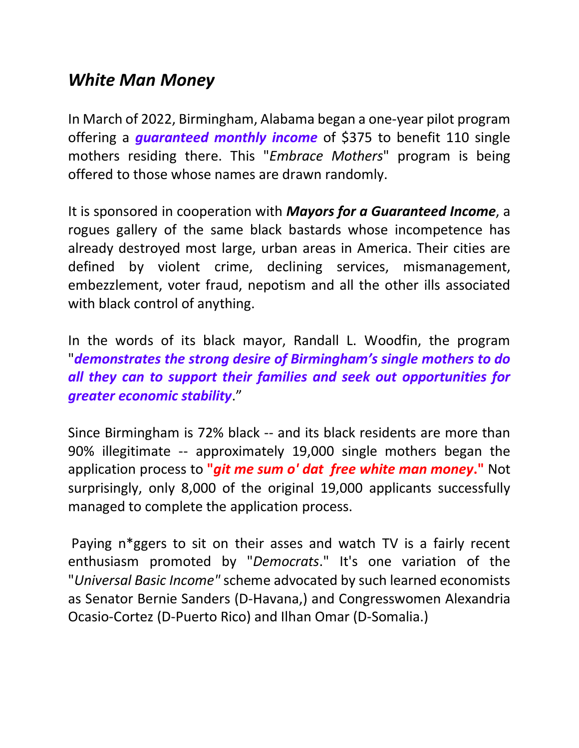## *White Man Money*

In March of 2022, Birmingham, Alabama began a one-year pilot program offering a *guaranteed monthly income* of \$375 to benefit 110 single mothers residing there. This "*Embrace Mothers*" program is being offered to those whose names are drawn randomly.

It is sponsored in cooperation with *Mayors for a Guaranteed Income*, a rogues gallery of the same black bastards whose incompetence has already destroyed most large, urban areas in America. Their cities are defined by violent crime, declining services, mismanagement, embezzlement, voter fraud, nepotism and all the other ills associated with black control of anything.

In the words of its black mayor, Randall L. Woodfin, the program "*demonstrates the strong desire of Birmingham's single mothers to do all they can to support their families and seek out opportunities for greater economic stability*."

Since Birmingham is 72% black -- and its black residents are more than 90% illegitimate -- approximately 19,000 single mothers began the application process to **"***git me sum o' dat free white man money***."** Not surprisingly, only 8,000 of the original 19,000 applicants successfully managed to complete the application process.

Paying n\*ggers to sit on their asses and watch TV is a fairly recent enthusiasm promoted by "*Democrats*." It's one variation of the "*Universal Basic Income"* scheme advocated by such learned economists as Senator Bernie Sanders (D-Havana,) and Congresswomen Alexandria Ocasio-Cortez (D-Puerto Rico) and Ilhan Omar (D-Somalia.)